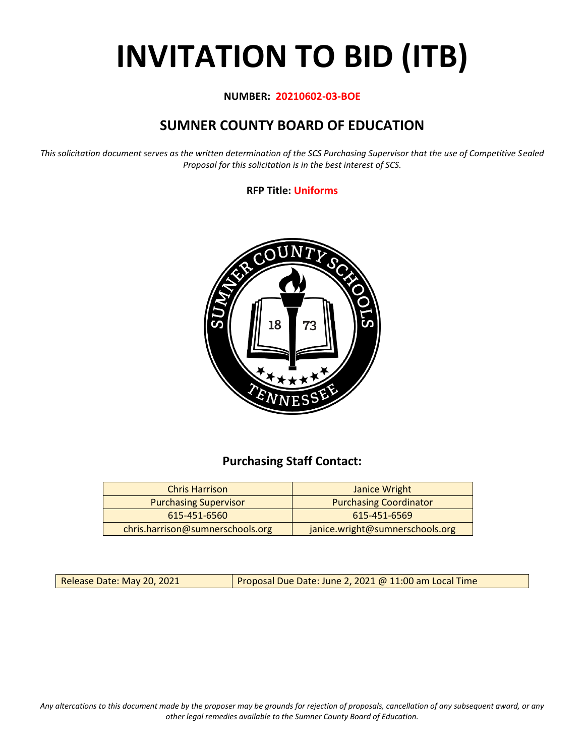# **INVITATION TO BID (ITB)**

#### **NUMBER: 20210602-03-BOE**

# **SUMNER COUNTY BOARD OF EDUCATION**

*This solicitation document serves as the written determination of the SCS Purchasing Supervisor that the use of Competitive Sealed Proposal for this solicitation is in the best interest of SCS.*

#### **RFP Title: Uniforms**



## **Purchasing Staff Contact:**

| <b>Chris Harrison</b>            | Janice Wright                   |
|----------------------------------|---------------------------------|
| <b>Purchasing Supervisor</b>     | <b>Purchasing Coordinator</b>   |
| 615-451-6560                     | 615-451-6569                    |
| chris.harrison@sumnerschools.org | janice.wright@sumnerschools.org |

Release Date: May 20, 2021 **Proposal Due Date: June 2, 2021 @ 11:00 am Local Time** 

*Any altercations to this document made by the proposer may be grounds for rejection of proposals, cancellation of any subsequent award, or any other legal remedies available to the Sumner County Board of Education.*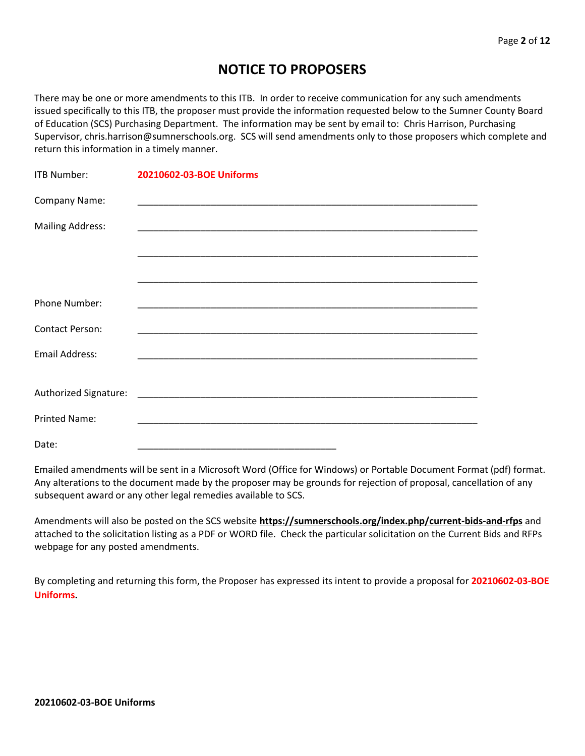## **NOTICE TO PROPOSERS**

There may be one or more amendments to this ITB. In order to receive communication for any such amendments issued specifically to this ITB, the proposer must provide the information requested below to the Sumner County Board of Education (SCS) Purchasing Department. The information may be sent by email to: Chris Harrison, Purchasing Supervisor, chris.harrison@sumnerschools.org. SCS will send amendments only to those proposers which complete and return this information in a timely manner.

| <b>ITB Number:</b>      | 20210602-03-BOE Uniforms |
|-------------------------|--------------------------|
| Company Name:           |                          |
| <b>Mailing Address:</b> |                          |
|                         |                          |
|                         |                          |
| Phone Number:           |                          |
| <b>Contact Person:</b>  |                          |
| <b>Email Address:</b>   |                          |
|                         |                          |
|                         |                          |
| <b>Printed Name:</b>    |                          |
| Date:                   |                          |

Emailed amendments will be sent in a Microsoft Word (Office for Windows) or Portable Document Format (pdf) format. Any alterations to the document made by the proposer may be grounds for rejection of proposal, cancellation of any subsequent award or any other legal remedies available to SCS.

Amendments will also be posted on the SCS website **https://sumnerschools.org/index.php/current-bids-and-rfps** and attached to the solicitation listing as a PDF or WORD file. Check the particular solicitation on the Current Bids and RFPs webpage for any posted amendments.

By completing and returning this form, the Proposer has expressed its intent to provide a proposal for **20210602-03-BOE Uniforms.**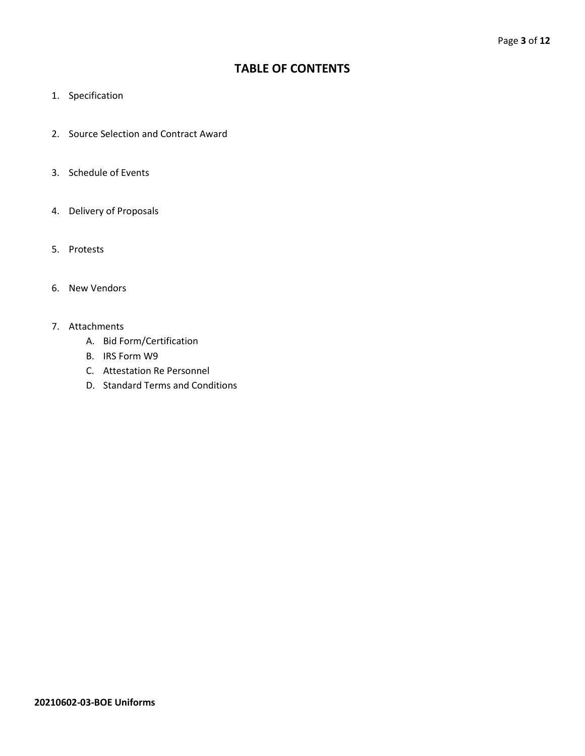## **TABLE OF CONTENTS**

- 1. Specification
- 2. Source Selection and Contract Award
- 3. Schedule of Events
- 4. Delivery of Proposals
- 5. Protests
- 6. New Vendors
- 7. Attachments
	- A. Bid Form/Certification
	- B. IRS Form W9
	- C. Attestation Re Personnel
	- D. Standard Terms and Conditions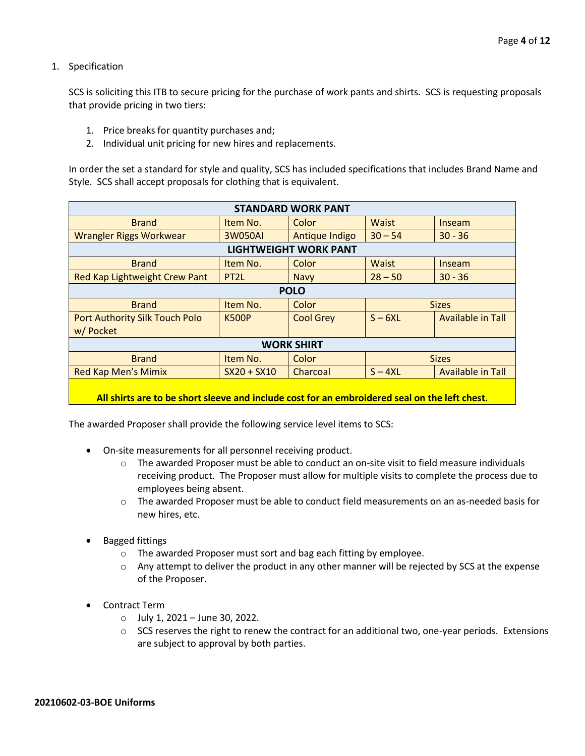1. Specification

SCS is soliciting this ITB to secure pricing for the purchase of work pants and shirts. SCS is requesting proposals that provide pricing in two tiers:

- 1. Price breaks for quantity purchases and;
- 2. Individual unit pricing for new hires and replacements.

In order the set a standard for style and quality, SCS has included specifications that includes Brand Name and Style. SCS shall accept proposals for clothing that is equivalent.

| <b>STANDARD WORK PANT</b>      |                   |                              |                                       |        |  |  |
|--------------------------------|-------------------|------------------------------|---------------------------------------|--------|--|--|
| <b>Brand</b>                   | Item No.          | Color                        | Waist<br>Inseam                       |        |  |  |
| <b>Wrangler Riggs Workwear</b> | 3W050AI           | Antique Indigo               | $30 - 54$<br>$30 - 36$                |        |  |  |
|                                |                   | <b>LIGHTWEIGHT WORK PANT</b> |                                       |        |  |  |
| <b>Brand</b>                   | Item No.          | Color                        | <b>Waist</b>                          | Inseam |  |  |
| Red Kap Lightweight Crew Pant  | PT <sub>2</sub> L | <b>Navy</b>                  | $28 - 50$<br>$30 - 36$                |        |  |  |
| <b>POLO</b>                    |                   |                              |                                       |        |  |  |
| <b>Brand</b>                   | Item No.          | Color                        | <b>Sizes</b>                          |        |  |  |
| Port Authority Silk Touch Polo | <b>K500P</b>      | <b>Cool Grey</b>             | $S - 6XL$<br>Available in Tall        |        |  |  |
| w/ Pocket                      |                   |                              |                                       |        |  |  |
| <b>WORK SHIRT</b>              |                   |                              |                                       |        |  |  |
| <b>Brand</b>                   | Item No.          | Color                        | <b>Sizes</b>                          |        |  |  |
| <b>Red Kap Men's Mimix</b>     | $SX20 + SX10$     | Charcoal                     | $S - 4XL$<br><b>Available in Tall</b> |        |  |  |
|                                |                   |                              |                                       |        |  |  |

#### **All shirts are to be short sleeve and include cost for an embroidered seal on the left chest.**

The awarded Proposer shall provide the following service level items to SCS:

- On-site measurements for all personnel receiving product.
	- $\circ$  The awarded Proposer must be able to conduct an on-site visit to field measure individuals receiving product. The Proposer must allow for multiple visits to complete the process due to employees being absent.
	- $\circ$  The awarded Proposer must be able to conduct field measurements on an as-needed basis for new hires, etc.
- Bagged fittings
	- o The awarded Proposer must sort and bag each fitting by employee.
	- $\circ$  Any attempt to deliver the product in any other manner will be rejected by SCS at the expense of the Proposer.
- Contract Term
	- $\circ$  July 1, 2021 June 30, 2022.
	- $\circ$  SCS reserves the right to renew the contract for an additional two, one-year periods. Extensions are subject to approval by both parties.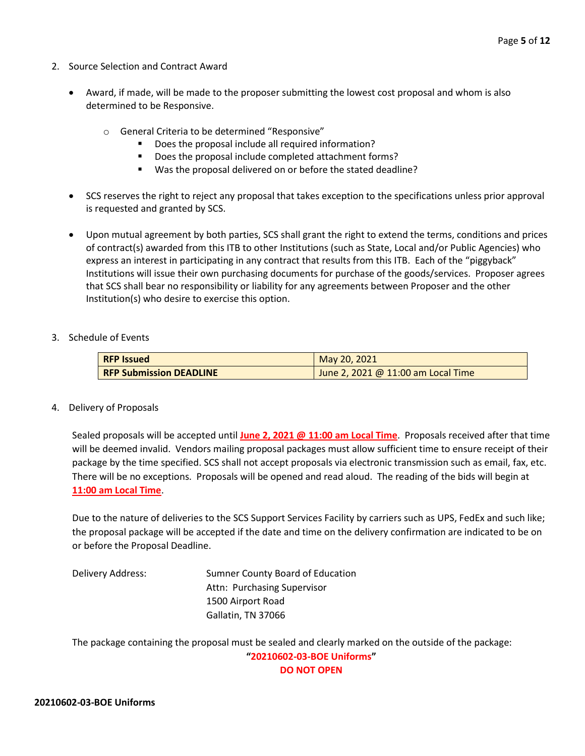- 2. Source Selection and Contract Award
	- Award, if made, will be made to the proposer submitting the lowest cost proposal and whom is also determined to be Responsive.
		- o General Criteria to be determined "Responsive"
			- Does the proposal include all required information?
			- Does the proposal include completed attachment forms?
			- Was the proposal delivered on or before the stated deadline?
	- SCS reserves the right to reject any proposal that takes exception to the specifications unless prior approval is requested and granted by SCS.
	- Upon mutual agreement by both parties, SCS shall grant the right to extend the terms, conditions and prices of contract(s) awarded from this ITB to other Institutions (such as State, Local and/or Public Agencies) who express an interest in participating in any contract that results from this ITB. Each of the "piggyback" Institutions will issue their own purchasing documents for purchase of the goods/services. Proposer agrees that SCS shall bear no responsibility or liability for any agreements between Proposer and the other Institution(s) who desire to exercise this option.

#### 3. Schedule of Events

| <b>RFP Issued</b>              | May 20, 2021                         |
|--------------------------------|--------------------------------------|
| <b>RFP Submission DEADLINE</b> | June 2, 2021 @ $11:00$ am Local Time |

#### 4. Delivery of Proposals

Sealed proposals will be accepted until **June 2, 2021 @ 11:00 am Local Time**. Proposals received after that time will be deemed invalid. Vendors mailing proposal packages must allow sufficient time to ensure receipt of their package by the time specified. SCS shall not accept proposals via electronic transmission such as email, fax, etc. There will be no exceptions. Proposals will be opened and read aloud. The reading of the bids will begin at **11:00 am Local Time**.

Due to the nature of deliveries to the SCS Support Services Facility by carriers such as UPS, FedEx and such like; the proposal package will be accepted if the date and time on the delivery confirmation are indicated to be on or before the Proposal Deadline.

Delivery Address: Sumner County Board of Education Attn: Purchasing Supervisor 1500 Airport Road Gallatin, TN 37066

The package containing the proposal must be sealed and clearly marked on the outside of the package: **"20210602-03-BOE Uniforms"**

**DO NOT OPEN**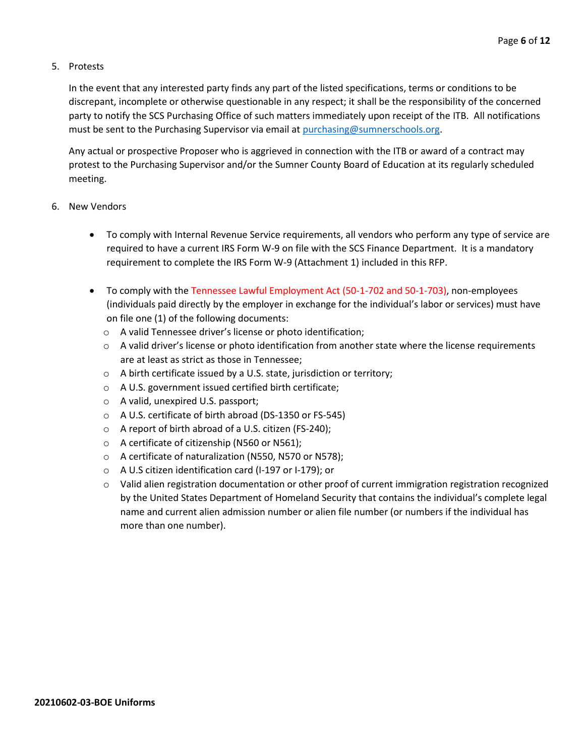#### 5. Protests

In the event that any interested party finds any part of the listed specifications, terms or conditions to be discrepant, incomplete or otherwise questionable in any respect; it shall be the responsibility of the concerned party to notify the SCS Purchasing Office of such matters immediately upon receipt of the ITB. All notifications must be sent to the Purchasing Supervisor via email at [purchasing@sumnerschools.org.](mailto:purchasing@sumnerschools.org)

Any actual or prospective Proposer who is aggrieved in connection with the ITB or award of a contract may protest to the Purchasing Supervisor and/or the Sumner County Board of Education at its regularly scheduled meeting.

#### 6. New Vendors

- To comply with Internal Revenue Service requirements, all vendors who perform any type of service are required to have a current IRS Form W-9 on file with the SCS Finance Department. It is a mandatory requirement to complete the IRS Form W-9 (Attachment 1) included in this RFP.
- To comply with the Tennessee Lawful Employment Act (50-1-702 and 50-1-703), non-employees (individuals paid directly by the employer in exchange for the individual's labor or services) must have on file one (1) of the following documents:
	- o A valid Tennessee driver's license or photo identification;
	- $\circ$  A valid driver's license or photo identification from another state where the license requirements are at least as strict as those in Tennessee;
	- o A birth certificate issued by a U.S. state, jurisdiction or territory;
	- o A U.S. government issued certified birth certificate;
	- o A valid, unexpired U.S. passport;
	- o A U.S. certificate of birth abroad (DS-1350 or FS-545)
	- o A report of birth abroad of a U.S. citizen (FS-240);
	- o A certificate of citizenship (N560 or N561);
	- o A certificate of naturalization (N550, N570 or N578);
	- o A U.S citizen identification card (I-197 or I-179); or
	- $\circ$  Valid alien registration documentation or other proof of current immigration registration recognized by the United States Department of Homeland Security that contains the individual's complete legal name and current alien admission number or alien file number (or numbers if the individual has more than one number).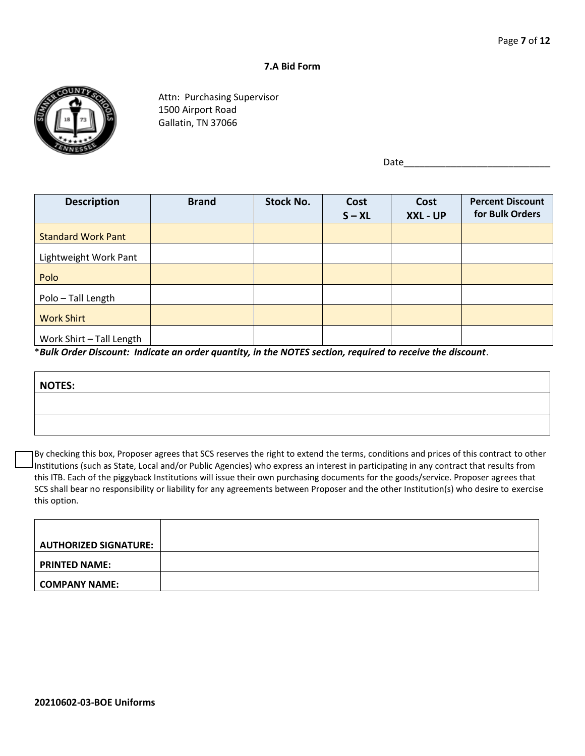#### **7.A Bid Form**



Attn: Purchasing Supervisor 1500 Airport Road Gallatin, TN 37066

Date $\_$ 

| <b>Description</b>                                                                                                                                                                             | <b>Brand</b>  | <b>Stock No.</b> | Cost<br>$S - XL$ | Cost<br>XXL - UP | <b>Percent Discount</b><br>for Bulk Orders |
|------------------------------------------------------------------------------------------------------------------------------------------------------------------------------------------------|---------------|------------------|------------------|------------------|--------------------------------------------|
| <b>Standard Work Pant</b>                                                                                                                                                                      |               |                  |                  |                  |                                            |
| Lightweight Work Pant                                                                                                                                                                          |               |                  |                  |                  |                                            |
| Polo                                                                                                                                                                                           |               |                  |                  |                  |                                            |
| Polo - Tall Length                                                                                                                                                                             |               |                  |                  |                  |                                            |
| <b>Work Shirt</b>                                                                                                                                                                              |               |                  |                  |                  |                                            |
| Work Shirt - Tall Length<br>$\mathbf{r} = \mathbf{r} \cdot \mathbf{r} = \mathbf{r} \cdot \mathbf{r} = \mathbf{r} \cdot \mathbf{r} = \mathbf{r} \cdot \mathbf{r} = \mathbf{r} \cdot \mathbf{r}$ | $\sim$ $\sim$ |                  |                  |                  |                                            |

\**Bulk Order Discount: Indicate an order quantity, in the NOTES section, required to receive the discount*.

| NOTES: |  |
|--------|--|
|        |  |
|        |  |

By checking this box, Proposer agrees that SCS reserves the right to extend the terms, conditions and prices of this contract to other Institutions (such as State, Local and/or Public Agencies) who express an interest in participating in any contract that results from this ITB. Each of the piggyback Institutions will issue their own purchasing documents for the goods/service. Proposer agrees that SCS shall bear no responsibility or liability for any agreements between Proposer and the other Institution(s) who desire to exercise this option.

| AUTHORIZED SIGNATURE: |  |
|-----------------------|--|
| <b>PRINTED NAME:</b>  |  |
|                       |  |
| <b>COMPANY NAME:</b>  |  |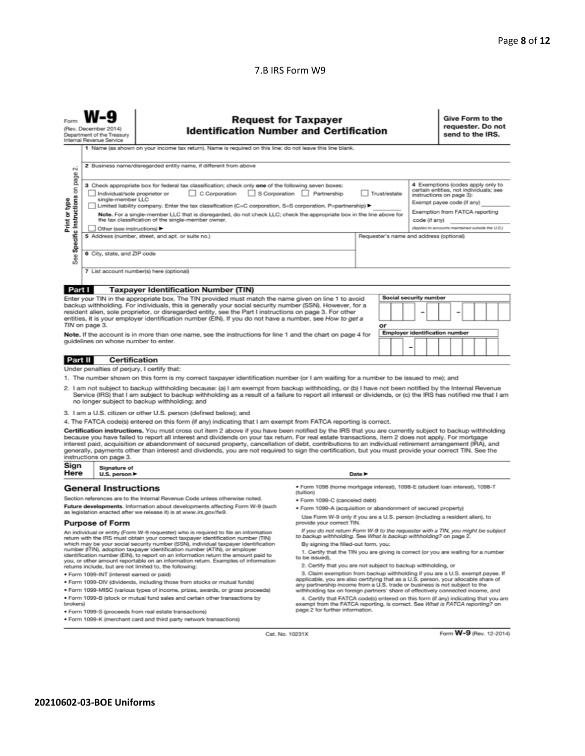#### 7.B IRS Form W9

| <b>Request for Taxpayer</b><br><b>Identification Number and Certification</b><br>(Rev. December 2014)<br>Department of the Treasury<br>Internal Revenue Service<br>1 Name (as shown on your income tax return). Name is required on this line; do not leave this line blank.                                                                                                                                                                                                                                                                                                                                                                                                                                                                                                                                                                                                                                                                                                                    |                                                                                                 |                                                                                   |                                                                                                                                                                     |  |  |  | Give Form to the<br>requester. Do not<br>send to the IRS. |  |  |  |  |
|-------------------------------------------------------------------------------------------------------------------------------------------------------------------------------------------------------------------------------------------------------------------------------------------------------------------------------------------------------------------------------------------------------------------------------------------------------------------------------------------------------------------------------------------------------------------------------------------------------------------------------------------------------------------------------------------------------------------------------------------------------------------------------------------------------------------------------------------------------------------------------------------------------------------------------------------------------------------------------------------------|-------------------------------------------------------------------------------------------------|-----------------------------------------------------------------------------------|---------------------------------------------------------------------------------------------------------------------------------------------------------------------|--|--|--|-----------------------------------------------------------|--|--|--|--|
| οi                                                                                                                                                                                                                                                                                                                                                                                                                                                                                                                                                                                                                                                                                                                                                                                                                                                                                                                                                                                              |                                                                                                 | 2 Business name/disregarded entity name, if different from above                  |                                                                                                                                                                     |  |  |  |                                                           |  |  |  |  |
| page<br>4 Exemptions (codes apply only to<br>3 Check appropriate box for federal tax classification; check only one of the following seven boxes:<br>Specific Instructions on<br>certain entities, not individuals; see<br>S Corporation Partnership<br>Individual/sole proprietor or<br>C Corporation<br>Trust/estate<br>instructions on page 3):<br>single-member LLC<br>Print or type<br>Exempt payee code (if any)<br>Limited liability company. Enter the tax classification (C=C corporation, S=S corporation, P=partnership) ▶<br>Exemption from FATCA reporting<br>Note. For a single-member LLC that is disregarded, do not check LLC; check the appropriate box in the line above for<br>the tax classification of the single-member owner.<br>code (if any)<br>(Applies to accounts maintained outside the U.S.)<br>Other (see instructions) ▶<br>5 Address (number, street, and apt. or suite no.)<br>Requester's name and address (optional)<br>6 City, state, and ZIP code<br>See |                                                                                                 |                                                                                   |                                                                                                                                                                     |  |  |  |                                                           |  |  |  |  |
|                                                                                                                                                                                                                                                                                                                                                                                                                                                                                                                                                                                                                                                                                                                                                                                                                                                                                                                                                                                                 |                                                                                                 | 7 List account number(s) here (optional)                                          |                                                                                                                                                                     |  |  |  |                                                           |  |  |  |  |
| Part I                                                                                                                                                                                                                                                                                                                                                                                                                                                                                                                                                                                                                                                                                                                                                                                                                                                                                                                                                                                          |                                                                                                 | <b>Taxpayer Identification Number (TIN)</b>                                       |                                                                                                                                                                     |  |  |  |                                                           |  |  |  |  |
| Social security number<br>Enter your TIN in the appropriate box. The TIN provided must match the name given on line 1 to avoid<br>backup withholding. For individuals, this is generally your social security number (SSN). However, for a<br>resident alien, sole proprietor, or disregarded entity, see the Part I instructions on page 3. For other<br>entities, it is your employer identification number (EIN). If you do not have a number, see How to get a<br>TIN on page 3.<br>or<br><b>Employer identification number</b><br>Note. If the account is in more than one name, see the instructions for line 1 and the chart on page 4 for<br>guidelines on whose number to enter.                                                                                                                                                                                                                                                                                                       |                                                                                                 |                                                                                   |                                                                                                                                                                     |  |  |  |                                                           |  |  |  |  |
| Part II                                                                                                                                                                                                                                                                                                                                                                                                                                                                                                                                                                                                                                                                                                                                                                                                                                                                                                                                                                                         | <b>Certification</b>                                                                            |                                                                                   |                                                                                                                                                                     |  |  |  |                                                           |  |  |  |  |
|                                                                                                                                                                                                                                                                                                                                                                                                                                                                                                                                                                                                                                                                                                                                                                                                                                                                                                                                                                                                 | Under penalties of perjury, I certify that:                                                     |                                                                                   |                                                                                                                                                                     |  |  |  |                                                           |  |  |  |  |
| 1. The number shown on this form is my correct taxpayer identification number (or I am waiting for a number to be issued to me); and<br>2. I am not subject to backup withholding because: (a) I am exempt from backup withholding, or (b) I have not been notified by the Internal Revenue<br>Service (IRS) that I am subject to backup withholding as a result of a failure to report all interest or dividends, or (c) the IRS has notified me that I am<br>no longer subject to backup withholding; and                                                                                                                                                                                                                                                                                                                                                                                                                                                                                     |                                                                                                 |                                                                                   |                                                                                                                                                                     |  |  |  |                                                           |  |  |  |  |
|                                                                                                                                                                                                                                                                                                                                                                                                                                                                                                                                                                                                                                                                                                                                                                                                                                                                                                                                                                                                 |                                                                                                 | 3. I am a U.S. citizen or other U.S. person (defined below); and                  |                                                                                                                                                                     |  |  |  |                                                           |  |  |  |  |
| 4. The FATCA code(s) entered on this form (if any) indicating that I am exempt from FATCA reporting is correct.<br>Certification instructions. You must cross out item 2 above if you have been notified by the IRS that you are currently subject to backup withholding<br>because you have failed to report all interest and dividends on your tax return. For real estate transactions, item 2 does not apply. For mortgage<br>interest paid, acquisition or abandonment of secured property, cancellation of debt, contributions to an individual retirement arrangement (IRA), and<br>generally, payments other than interest and dividends, you are not required to sign the certification, but you must provide your correct TIN. See the<br>instructions on page 3.                                                                                                                                                                                                                     |                                                                                                 |                                                                                   |                                                                                                                                                                     |  |  |  |                                                           |  |  |  |  |
|                                                                                                                                                                                                                                                                                                                                                                                                                                                                                                                                                                                                                                                                                                                                                                                                                                                                                                                                                                                                 | Sign<br>Signature of<br>Here<br>Date $\blacktriangleright$<br>U.S. person $\blacktriangleright$ |                                                                                   |                                                                                                                                                                     |  |  |  |                                                           |  |  |  |  |
| · Form 1098 (home mortgage interest), 1098-E (student loan interest), 1098-T<br><b>General Instructions</b>                                                                                                                                                                                                                                                                                                                                                                                                                                                                                                                                                                                                                                                                                                                                                                                                                                                                                     |                                                                                                 |                                                                                   |                                                                                                                                                                     |  |  |  |                                                           |  |  |  |  |
|                                                                                                                                                                                                                                                                                                                                                                                                                                                                                                                                                                                                                                                                                                                                                                                                                                                                                                                                                                                                 |                                                                                                 | Section references are to the Internal Revenue Code unless otherwise noted.       | (tuition)<br>· Form 1099-C (canceled debt)                                                                                                                          |  |  |  |                                                           |  |  |  |  |
|                                                                                                                                                                                                                                                                                                                                                                                                                                                                                                                                                                                                                                                                                                                                                                                                                                                                                                                                                                                                 |                                                                                                 | Future developments. Information about developments affecting Form W-9 (such      | . Form 1099-A (acquisition or abandonment of secured property)                                                                                                      |  |  |  |                                                           |  |  |  |  |
| as legislation enacted after we release it) is at www.irs.gov/fw9.<br>Use Form W-9 only if you are a U.S. person (including a resident alien), to<br>provide your correct TIN.                                                                                                                                                                                                                                                                                                                                                                                                                                                                                                                                                                                                                                                                                                                                                                                                                  |                                                                                                 |                                                                                   |                                                                                                                                                                     |  |  |  |                                                           |  |  |  |  |
| <b>Purpose of Form</b><br>If you do not return Form W-9 to the requester with a TIN, you might be subject<br>An individual or entity (Form W-9 requester) who is required to file an information<br>to backup withholding. See What is backup withholding? on page 2.<br>return with the IRS must obtain your correct taxpayer identification number (TIN)<br>which may be your social security number (SSN), individual taxpayer identification<br>By signing the filled-out form, you:<br>number (ITIN), adoption taxpayer identification number (ATIN), or employer<br>1. Certify that the TIN you are giving is correct (or you are waiting for a number<br>identification number (EIN), to report on an information return the amount paid to                                                                                                                                                                                                                                              |                                                                                                 |                                                                                   |                                                                                                                                                                     |  |  |  |                                                           |  |  |  |  |
|                                                                                                                                                                                                                                                                                                                                                                                                                                                                                                                                                                                                                                                                                                                                                                                                                                                                                                                                                                                                 |                                                                                                 | you, or other amount reportable on an information return. Examples of information | to be issued).<br>2. Certify that you are not subject to backup withholding, or                                                                                     |  |  |  |                                                           |  |  |  |  |
|                                                                                                                                                                                                                                                                                                                                                                                                                                                                                                                                                                                                                                                                                                                                                                                                                                                                                                                                                                                                 | · Form 1099-INT (interest earned or paid)                                                       | returns include, but are not limited to, the following:                           | 3. Claim exemption from backup withholding if you are a U.S. exempt payee. If                                                                                       |  |  |  |                                                           |  |  |  |  |
|                                                                                                                                                                                                                                                                                                                                                                                                                                                                                                                                                                                                                                                                                                                                                                                                                                                                                                                                                                                                 |                                                                                                 | . Form 1099-DIV (dividends, including those from stocks or mutual funds)          | applicable, you are also certifying that as a U.S. person, your allocable share of<br>any partnership income from a U.S. trade or business is not subject to the    |  |  |  |                                                           |  |  |  |  |
|                                                                                                                                                                                                                                                                                                                                                                                                                                                                                                                                                                                                                                                                                                                                                                                                                                                                                                                                                                                                 |                                                                                                 | * Form 1099-MISC (various types of income, prizes, awards, or gross proceeds)     | withholding tax on foreign partners' share of effectively connected income, and                                                                                     |  |  |  |                                                           |  |  |  |  |
| brokers)                                                                                                                                                                                                                                                                                                                                                                                                                                                                                                                                                                                                                                                                                                                                                                                                                                                                                                                                                                                        |                                                                                                 | . Form 1099-B (stock or mutual fund sales and certain other transactions by       | 4. Certify that FATCA code(s) entered on this form (if any) indicating that you are<br>exempt from the FATCA reporting, is correct. See What is FATCA reporting? on |  |  |  |                                                           |  |  |  |  |
|                                                                                                                                                                                                                                                                                                                                                                                                                                                                                                                                                                                                                                                                                                                                                                                                                                                                                                                                                                                                 |                                                                                                 | · Form 1099-S (proceeds from real estate transactions)                            | page 2 for further information.                                                                                                                                     |  |  |  |                                                           |  |  |  |  |
|                                                                                                                                                                                                                                                                                                                                                                                                                                                                                                                                                                                                                                                                                                                                                                                                                                                                                                                                                                                                 | . Form 1099-K (merchant card and third party network transactions)                              |                                                                                   |                                                                                                                                                                     |  |  |  |                                                           |  |  |  |  |

Form W-9 (Rev. 12-2014)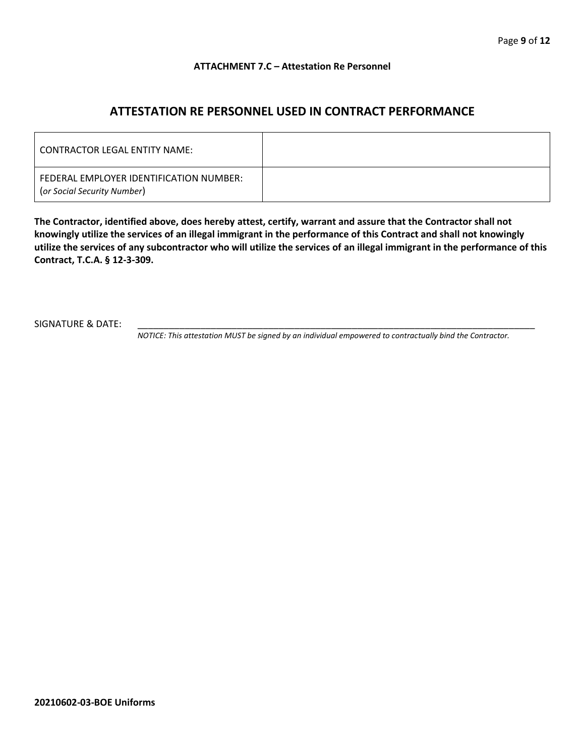#### **ATTACHMENT 7.C – Attestation Re Personnel**

## **ATTESTATION RE PERSONNEL USED IN CONTRACT PERFORMANCE**

| CONTRACTOR LEGAL ENTITY NAME:                                          |  |
|------------------------------------------------------------------------|--|
| FEDERAL EMPLOYER IDENTIFICATION NUMBER:<br>(or Social Security Number) |  |

**The Contractor, identified above, does hereby attest, certify, warrant and assure that the Contractor shall not knowingly utilize the services of an illegal immigrant in the performance of this Contract and shall not knowingly utilize the services of any subcontractor who will utilize the services of an illegal immigrant in the performance of this Contract, T.C.A. § 12-3-309.**

SIGNATURE & DATE:

*NOTICE: This attestation MUST be signed by an individual empowered to contractually bind the Contractor.*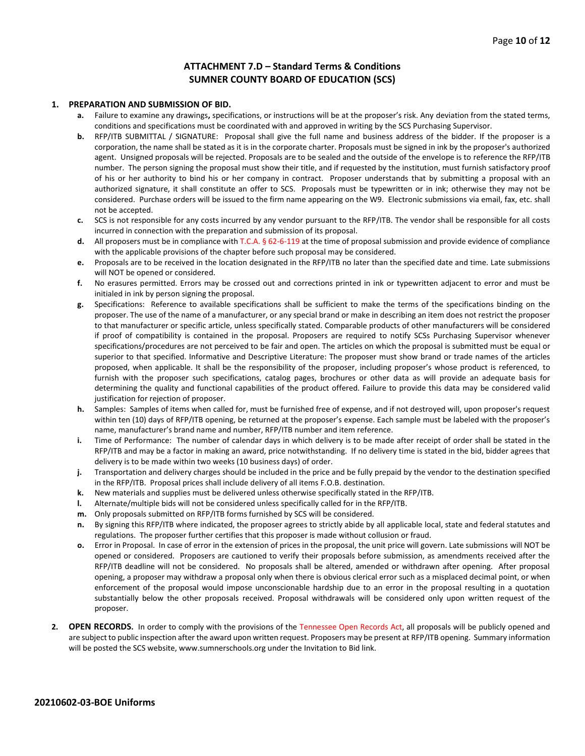#### **ATTACHMENT 7.D – Standard Terms & Conditions SUMNER COUNTY BOARD OF EDUCATION (SCS)**

#### **1. PREPARATION AND SUBMISSION OF BID.**

- **a.** Failure to examine any drawings**,** specifications, or instructions will be at the proposer's risk. Any deviation from the stated terms, conditions and specifications must be coordinated with and approved in writing by the SCS Purchasing Supervisor.
- **b.** RFP/ITB SUBMITTAL / SIGNATURE: Proposal shall give the full name and business address of the bidder. If the proposer is a corporation, the name shall be stated as it is in the corporate charter. Proposals must be signed in ink by the proposer's authorized agent. Unsigned proposals will be rejected. Proposals are to be sealed and the outside of the envelope is to reference the RFP/ITB number. The person signing the proposal must show their title, and if requested by the institution, must furnish satisfactory proof of his or her authority to bind his or her company in contract. Proposer understands that by submitting a proposal with an authorized signature, it shall constitute an offer to SCS. Proposals must be typewritten or in ink; otherwise they may not be considered. Purchase orders will be issued to the firm name appearing on the W9. Electronic submissions via email, fax, etc. shall not be accepted.
- **c.** SCS is not responsible for any costs incurred by any vendor pursuant to the RFP/ITB. The vendor shall be responsible for all costs incurred in connection with the preparation and submission of its proposal.
- **d.** All proposers must be in compliance with T.C.A. § 62-6-119 at the time of proposal submission and provide evidence of compliance with the applicable provisions of the chapter before such proposal may be considered.
- **e.** Proposals are to be received in the location designated in the RFP/ITB no later than the specified date and time. Late submissions will NOT be opened or considered.
- **f.** No erasures permitted. Errors may be crossed out and corrections printed in ink or typewritten adjacent to error and must be initialed in ink by person signing the proposal.
- **g.** Specifications: Reference to available specifications shall be sufficient to make the terms of the specifications binding on the proposer. The use of the name of a manufacturer, or any special brand or make in describing an item does not restrict the proposer to that manufacturer or specific article, unless specifically stated. Comparable products of other manufacturers will be considered if proof of compatibility is contained in the proposal. Proposers are required to notify SCSs Purchasing Supervisor whenever specifications/procedures are not perceived to be fair and open. The articles on which the proposal is submitted must be equal or superior to that specified. Informative and Descriptive Literature: The proposer must show brand or trade names of the articles proposed, when applicable. It shall be the responsibility of the proposer, including proposer's whose product is referenced, to furnish with the proposer such specifications, catalog pages, brochures or other data as will provide an adequate basis for determining the quality and functional capabilities of the product offered. Failure to provide this data may be considered valid justification for rejection of proposer.
- **h.** Samples: Samples of items when called for, must be furnished free of expense, and if not destroyed will, upon proposer's request within ten (10) days of RFP/ITB opening, be returned at the proposer's expense. Each sample must be labeled with the proposer's name, manufacturer's brand name and number, RFP/ITB number and item reference.
- **i.** Time of Performance: The number of calendar days in which delivery is to be made after receipt of order shall be stated in the RFP/ITB and may be a factor in making an award, price notwithstanding. If no delivery time is stated in the bid, bidder agrees that delivery is to be made within two weeks (10 business days) of order.
- **j.** Transportation and delivery charges should be included in the price and be fully prepaid by the vendor to the destination specified in the RFP/ITB. Proposal prices shall include delivery of all items F.O.B. destination.
- **k.** New materials and supplies must be delivered unless otherwise specifically stated in the RFP/ITB.
- **l.** Alternate/multiple bids will not be considered unless specifically called for in the RFP/ITB.
- **m.** Only proposals submitted on RFP/ITB forms furnished by SCS will be considered.
- **n.** By signing this RFP/ITB where indicated, the proposer agrees to strictly abide by all applicable local, state and federal statutes and regulations. The proposer further certifies that this proposer is made without collusion or fraud.
- **o.** Error in Proposal. In case of error in the extension of prices in the proposal, the unit price will govern. Late submissions will NOT be opened or considered. Proposers are cautioned to verify their proposals before submission, as amendments received after the RFP/ITB deadline will not be considered. No proposals shall be altered, amended or withdrawn after opening. After proposal opening, a proposer may withdraw a proposal only when there is obvious clerical error such as a misplaced decimal point, or when enforcement of the proposal would impose unconscionable hardship due to an error in the proposal resulting in a quotation substantially below the other proposals received. Proposal withdrawals will be considered only upon written request of the proposer.
- **2. OPEN RECORDS.** In order to comply with the provisions of the Tennessee Open Records Act, all proposals will be publicly opened and are subject to public inspection after the award upon written request. Proposers may be present at RFP/ITB opening. Summary information will be posted the SCS website, www.sumnerschools.org under the Invitation to Bid link.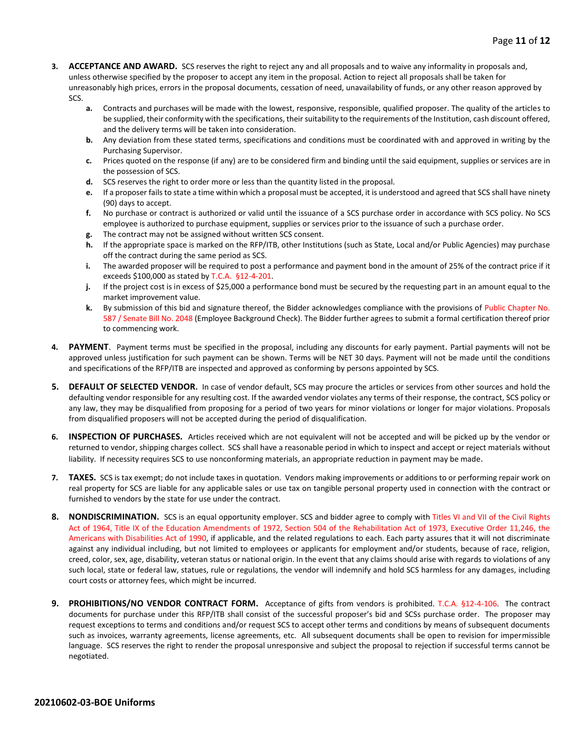- **3. ACCEPTANCE AND AWARD.** SCS reserves the right to reject any and all proposals and to waive any informality in proposals and, unless otherwise specified by the proposer to accept any item in the proposal. Action to reject all proposals shall be taken for unreasonably high prices, errors in the proposal documents, cessation of need, unavailability of funds, or any other reason approved by SCS.
	- **a.** Contracts and purchases will be made with the lowest, responsive, responsible, qualified proposer. The quality of the articles to be supplied, their conformity with the specifications, their suitability to the requirements of the Institution, cash discount offered, and the delivery terms will be taken into consideration.
	- **b.** Any deviation from these stated terms, specifications and conditions must be coordinated with and approved in writing by the Purchasing Supervisor.
	- **c.** Prices quoted on the response (if any) are to be considered firm and binding until the said equipment, supplies or services are in the possession of SCS.
	- **d.** SCS reserves the right to order more or less than the quantity listed in the proposal.
	- **e.** If a proposer fails to state a time within which a proposal must be accepted, it is understood and agreed that SCS shall have ninety (90) days to accept.
	- **f.** No purchase or contract is authorized or valid until the issuance of a SCS purchase order in accordance with SCS policy. No SCS employee is authorized to purchase equipment, supplies or services prior to the issuance of such a purchase order.
	- **g.** The contract may not be assigned without written SCS consent.
	- **h.** If the appropriate space is marked on the RFP/ITB, other Institutions (such as State, Local and/or Public Agencies) may purchase off the contract during the same period as SCS.
	- **i.** The awarded proposer will be required to post a performance and payment bond in the amount of 25% of the contract price if it exceeds \$100,000 as stated by T.C.A. §12-4-201.
	- **j.** If the project cost is in excess of \$25,000 a performance bond must be secured by the requesting part in an amount equal to the market improvement value.
	- **k.** By submission of this bid and signature thereof, the Bidder acknowledges compliance with the provisions of Public Chapter No. 587 / Senate Bill No. 2048 (Employee Background Check). The Bidder further agrees to submit a formal certification thereof prior to commencing work.
- **4. PAYMENT**. Payment terms must be specified in the proposal, including any discounts for early payment. Partial payments will not be approved unless justification for such payment can be shown. Terms will be NET 30 days. Payment will not be made until the conditions and specifications of the RFP/ITB are inspected and approved as conforming by persons appointed by SCS.
- **5. DEFAULT OF SELECTED VENDOR.** In case of vendor default, SCS may procure the articles or services from other sources and hold the defaulting vendor responsible for any resulting cost. If the awarded vendor violates any terms of their response, the contract, SCS policy or any law, they may be disqualified from proposing for a period of two years for minor violations or longer for major violations. Proposals from disqualified proposers will not be accepted during the period of disqualification.
- **6. INSPECTION OF PURCHASES.** Articles received which are not equivalent will not be accepted and will be picked up by the vendor or returned to vendor, shipping charges collect. SCS shall have a reasonable period in which to inspect and accept or reject materials without liability. If necessity requires SCS to use nonconforming materials, an appropriate reduction in payment may be made.
- **7. TAXES.** SCS is tax exempt; do not include taxes in quotation. Vendors making improvements or additions to or performing repair work on real property for SCS are liable for any applicable sales or use tax on tangible personal property used in connection with the contract or furnished to vendors by the state for use under the contract.
- **8. NONDISCRIMINATION.** SCS is an equal opportunity employer. SCS and bidder agree to comply with Titles VI and VII of the Civil Rights Act of 1964, Title IX of the Education Amendments of 1972, Section 504 of the Rehabilitation Act of 1973, Executive Order 11,246, the Americans with Disabilities Act of 1990, if applicable, and the related regulations to each. Each party assures that it will not discriminate against any individual including, but not limited to employees or applicants for employment and/or students, because of race, religion, creed, color, sex, age, disability, veteran status or national origin. In the event that any claims should arise with regards to violations of any such local, state or federal law, statues, rule or regulations, the vendor will indemnify and hold SCS harmless for any damages, including court costs or attorney fees, which might be incurred.
- **9. PROHIBITIONS/NO VENDOR CONTRACT FORM.** Acceptance of gifts from vendors is prohibited. T.C.A. §12-4-106. The contract documents for purchase under this RFP/ITB shall consist of the successful proposer's bid and SCSs purchase order. The proposer may request exceptions to terms and conditions and/or request SCS to accept other terms and conditions by means of subsequent documents such as invoices, warranty agreements, license agreements, etc. All subsequent documents shall be open to revision for impermissible language. SCS reserves the right to render the proposal unresponsive and subject the proposal to rejection if successful terms cannot be negotiated.